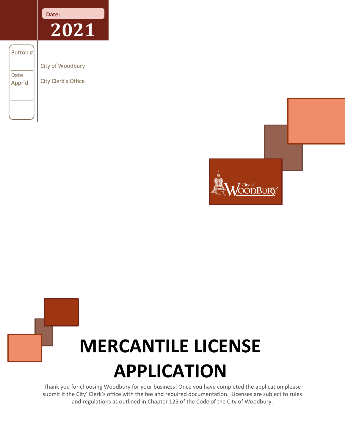

 $\overline{\phantom{a}}$ Date Appr'd

Button #

\_\_\_\_\_\_\_

City of Woodbury City Clerk's Office



# **MERCANTILE LICENSE APPLICATION**

Thank you for choosing Woodbury for your business! Once you have completed the application please submit it the City' Clerk's office with the fee and required documentation. Licenses are subject to rules and regulations as outlined in Chapter 125 of the Code of the City of Woodbury.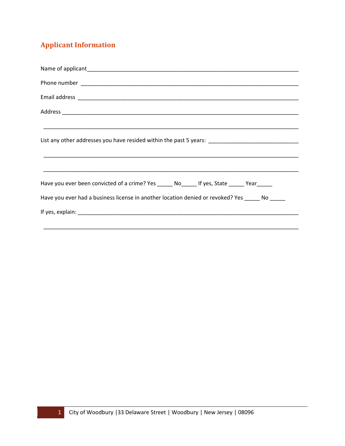# **Applicant Information**

| List any other addresses you have resided within the past 5 years: _________________________________ |
|------------------------------------------------------------------------------------------------------|
|                                                                                                      |
|                                                                                                      |
| Have you ever been convicted of a crime? Yes ______ No______ If yes, State ______ Year______         |
| Have you ever had a business license in another location denied or revoked? Yes ______ No _____      |
|                                                                                                      |
|                                                                                                      |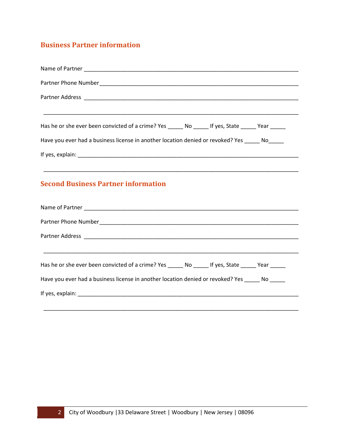# **Business Partner information**

| Has he or she ever been convicted of a crime? Yes _______ No _______ If yes, State _______ Year ______                                                                                           |
|--------------------------------------------------------------------------------------------------------------------------------------------------------------------------------------------------|
| Have you ever had a business license in another location denied or revoked? Yes ______ No______                                                                                                  |
|                                                                                                                                                                                                  |
| ,我们也不能在这里的时候,我们也不能在这里的时候,我们也不能在这里的时候,我们也不能会不能会不能会不能会不能会不能会不能会。<br>第2012章 我们的时候,我们的时候,我们的时候,我们的时候,我们的时候,我们的时候,我们的时候,我们的时候,我们的时候,我们的时候,我们的时候,我们的时候,我<br><b>Second Business Partner information</b> |
|                                                                                                                                                                                                  |
|                                                                                                                                                                                                  |
|                                                                                                                                                                                                  |
| Has he or she ever been convicted of a crime? Yes _______ No ______ If yes, State ______ Year ______                                                                                             |
| Have you ever had a business license in another location denied or revoked? Yes _____ No _____                                                                                                   |
|                                                                                                                                                                                                  |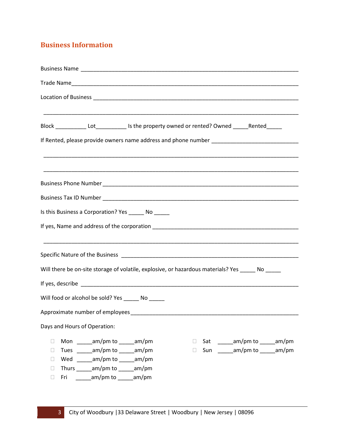## **Business Information**

| Block _____________Lot________________Is the property owned or rented? Owned ______Rented______                                                                                                                                                                                                           |
|-----------------------------------------------------------------------------------------------------------------------------------------------------------------------------------------------------------------------------------------------------------------------------------------------------------|
|                                                                                                                                                                                                                                                                                                           |
|                                                                                                                                                                                                                                                                                                           |
|                                                                                                                                                                                                                                                                                                           |
|                                                                                                                                                                                                                                                                                                           |
| Is this Business a Corporation? Yes _______ No _______                                                                                                                                                                                                                                                    |
|                                                                                                                                                                                                                                                                                                           |
|                                                                                                                                                                                                                                                                                                           |
| Will there be on-site storage of volatile, explosive, or hazardous materials? Yes _____ No ____                                                                                                                                                                                                           |
|                                                                                                                                                                                                                                                                                                           |
| Will food or alcohol be sold? Yes ________ No ______                                                                                                                                                                                                                                                      |
| Approximate number of employees                                                                                                                                                                                                                                                                           |
| Days and Hours of Operation:                                                                                                                                                                                                                                                                              |
| Mon am/pm to am/pm<br>Sat ________ am/pm to ______ am/pm<br>П<br>$\Box$<br>Tues am/pm to am/pm<br>Sun ________ am/pm to ______ am/pm<br>$\Box$<br>$\Box$<br>Wed ________ am/pm to ______ am/pm<br>П<br>Thurs _______ am/pm to _____ am/pm<br>$\Box$<br>_______am/pm to ______am/pm<br>Fri<br>$\mathbf{L}$ |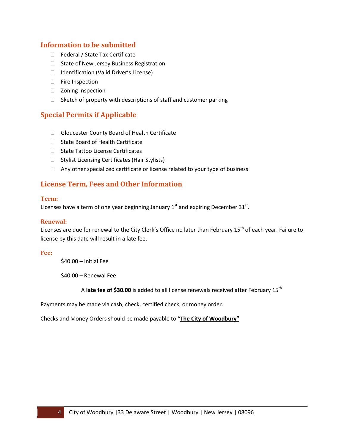## **Information to be submitted**

- □ Federal / State Tax Certificate
- $\Box$  State of New Jersey Business Registration
- $\Box$  Identification (Valid Driver's License)
- **Fire Inspection**
- □ Zoning Inspection
- $\Box$  Sketch of property with descriptions of staff and customer parking

## **Special Permits if Applicable**

- □ Gloucester County Board of Health Certificate
- $\Box$  State Board of Health Certificate
- □ State Tattoo License Certificates
- $\Box$  Stylist Licensing Certificates (Hair Stylists)
- $\Box$  Any other specialized certificate or license related to your type of business

## **License Term, Fees and Other Information**

#### **Term:**

Licenses have a term of one year beginning January  $1<sup>st</sup>$  and expiring December 31 $<sup>st</sup>$ .</sup>

## **Renewal:**

Licenses are due for renewal to the City Clerk's Office no later than February 15<sup>th</sup> of each year. Failure to license by this date will result in a late fee.

#### **Fee:**

\$40.00 – Initial Fee

\$40.00 – Renewal Fee

A **late fee of \$30.00** is added to all license renewals received after February 15th

Payments may be made via cash, check, certified check, or money order.

Checks and Money Orders should be made payable to "**The City of Woodbury"**